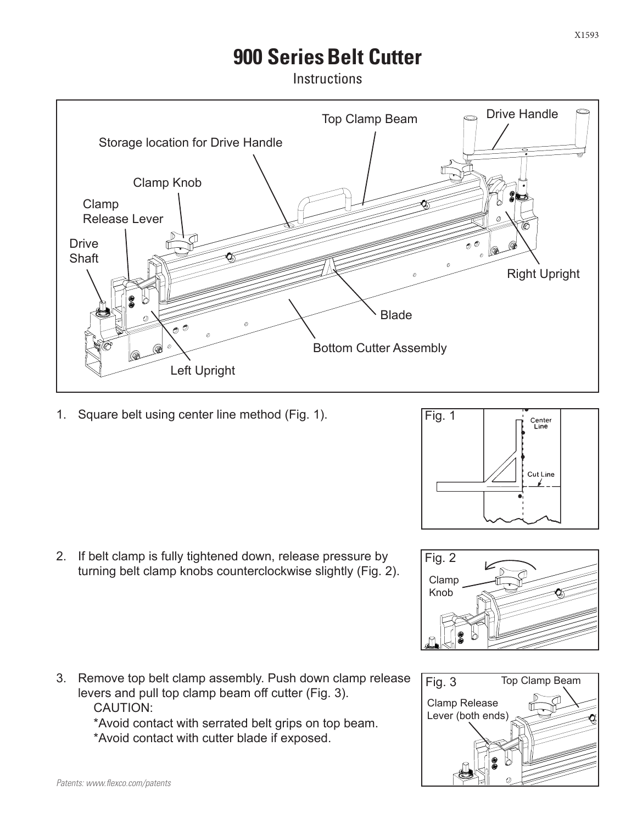## **900 Series Belt Cutter**

**Instructions** 



1. Square belt using center line method (Fig. 1).



3. Remove top belt clamp assembly. Push down clamp release levers and pull top clamp beam off cutter (Fig. 3). CAUTION:

> \*Avoid contact with serrated belt grips on top beam. \*Avoid contact with cutter blade if exposed.